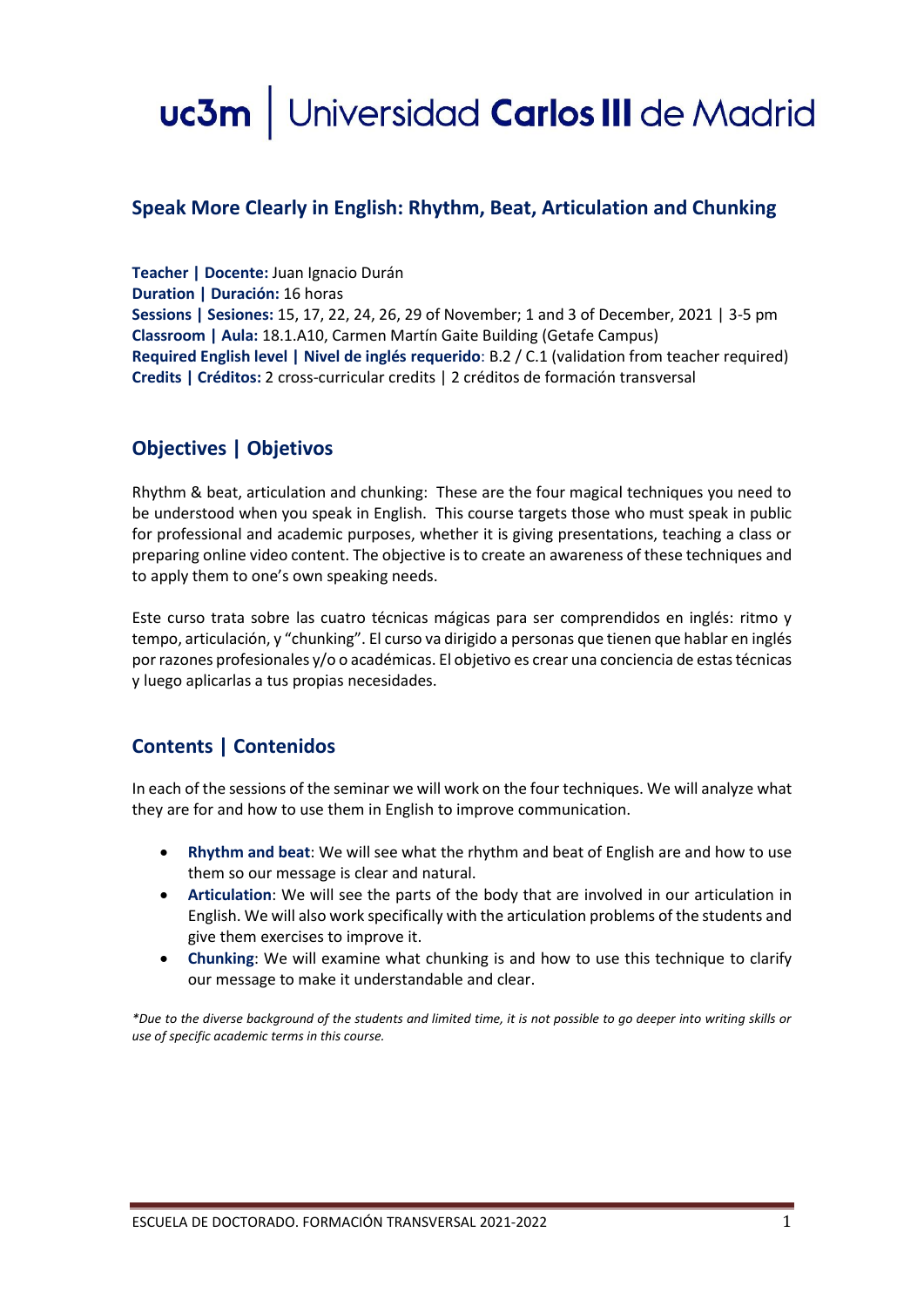# uc3m | Universidad Carlos III de Madrid

#### **Speak More Clearly in English: Rhythm, Beat, Articulation and Chunking**

**Teacher | Docente:** Juan Ignacio Durán **Duration | Duración:** 16 horas **Sessions | Sesiones:** 15, 17, 22, 24, 26, 29 of November; 1 and 3 of December, 2021 | 3-5 pm **Classroom | Aula:** 18.1.A10, Carmen Martín Gaite Building (Getafe Campus) **Required English level | Nivel de inglés requerido**: B.2 / C.1 (validation from teacher required) **Credits | Créditos:** 2 cross-curricular credits | 2 créditos de formación transversal

## **Objectives | Objetivos**

Rhythm & beat, articulation and chunking: These are the four magical techniques you need to be understood when you speak in English. This course targets those who must speak in public for professional and academic purposes, whether it is giving presentations, teaching a class or preparing online video content. The objective is to create an awareness of these techniques and to apply them to one's own speaking needs.

Este curso trata sobre las cuatro técnicas mágicas para ser comprendidos en inglés: ritmo y tempo, articulación, y "chunking". El curso va dirigido a personas que tienen que hablar en inglés porrazones profesionales y/o o académicas. El objetivo es crear una conciencia de estas técnicas y luego aplicarlas a tus propias necesidades.

## **Contents | Contenidos**

In each of the sessions of the seminar we will work on the four techniques. We will analyze what they are for and how to use them in English to improve communication.

- **Rhythm and beat**: We will see what the rhythm and beat of English are and how to use them so our message is clear and natural.
- **Articulation**: We will see the parts of the body that are involved in our articulation in English. We will also work specifically with the articulation problems of the students and give them exercises to improve it.
- **Chunking**: We will examine what chunking is and how to use this technique to clarify our message to make it understandable and clear.

*\*Due to the diverse background of the students and limited time, it is not possible to go deeper into writing skills or use of specific academic terms in this course.*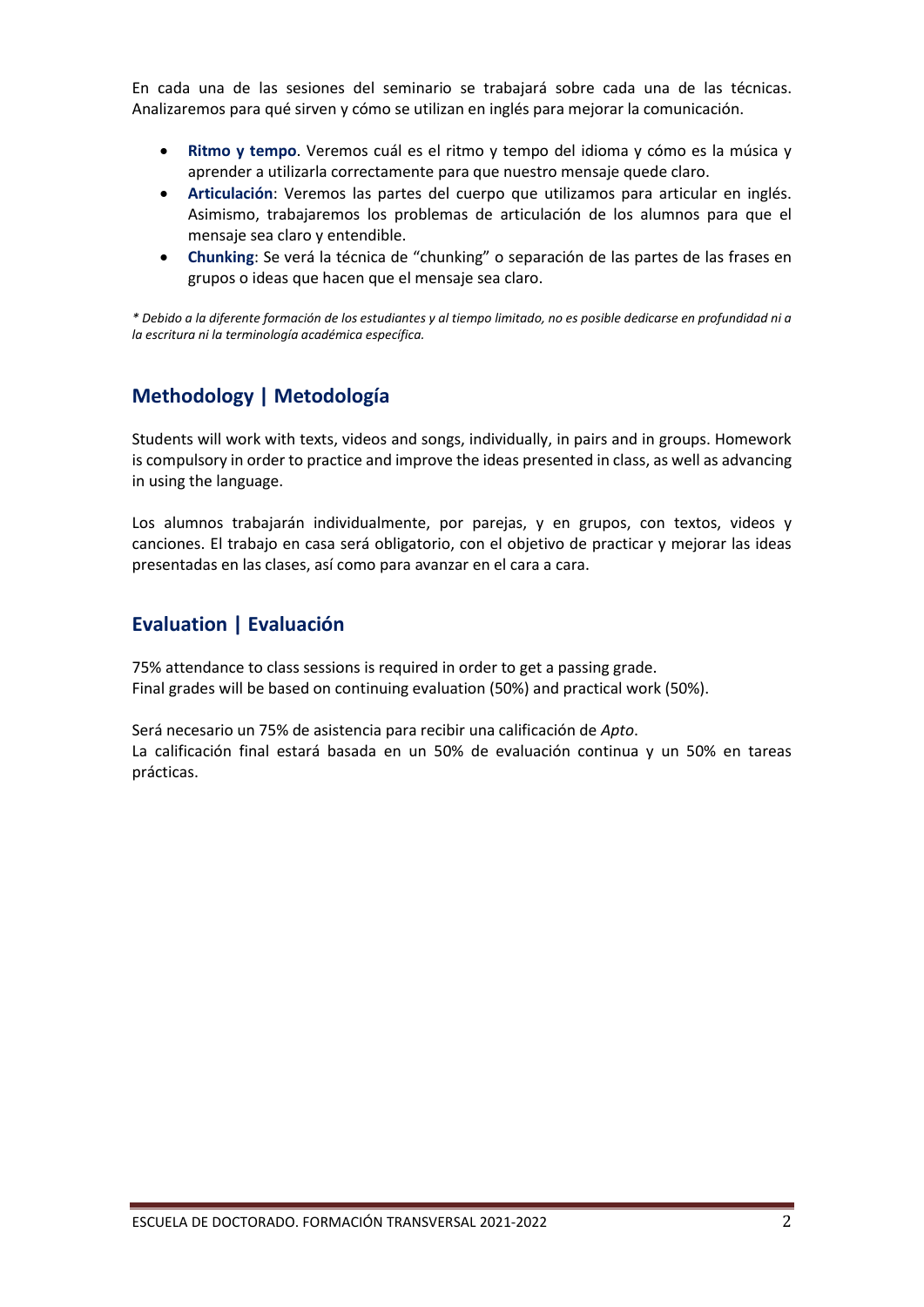En cada una de las sesiones del seminario se trabajará sobre cada una de las técnicas. Analizaremos para qué sirven y cómo se utilizan en inglés para mejorar la comunicación.

- **Ritmo y tempo**. Veremos cuál es el ritmo y tempo del idioma y cómo es la música y aprender a utilizarla correctamente para que nuestro mensaje quede claro.
- **Articulación**: Veremos las partes del cuerpo que utilizamos para articular en inglés. Asimismo, trabajaremos los problemas de articulación de los alumnos para que el mensaje sea claro y entendible.
- **Chunking**: Se verá la técnica de "chunking" o separación de las partes de las frases en grupos o ideas que hacen que el mensaje sea claro.

*\* Debido a la diferente formación de los estudiantes y al tiempo limitado, no es posible dedicarse en profundidad ni a la escritura ni la terminología académica específica.*

### **Methodology | Metodología**

Students will work with texts, videos and songs, individually, in pairs and in groups. Homework is compulsory in order to practice and improve the ideas presented in class, as well as advancing in using the language.

Los alumnos trabajarán individualmente, por parejas, y en grupos, con textos, videos y canciones. El trabajo en casa será obligatorio, con el objetivo de practicar y mejorar las ideas presentadas en las clases, así como para avanzar en el cara a cara.

#### **Evaluation | Evaluación**

75% attendance to class sessions is required in order to get a passing grade. Final grades will be based on continuing evaluation (50%) and practical work (50%).

Será necesario un 75% de asistencia para recibir una calificación de *Apto*. La calificación final estará basada en un 50% de evaluación continua y un 50% en tareas prácticas.